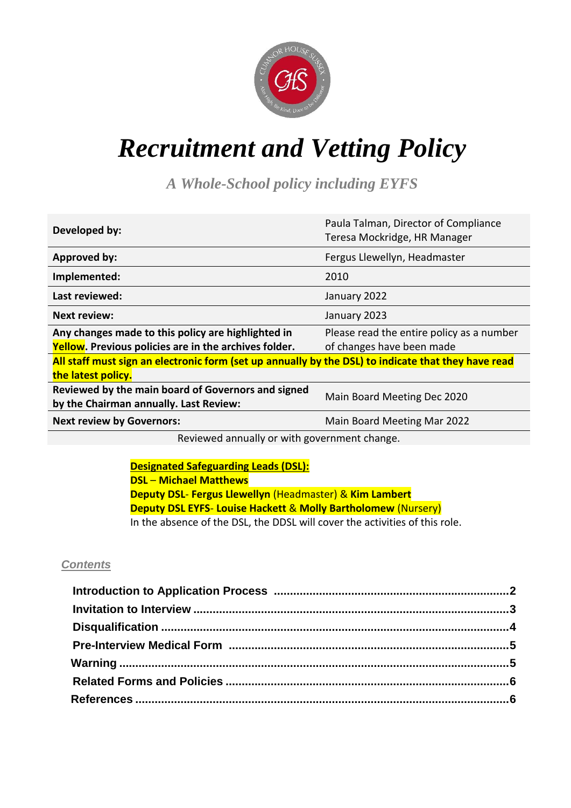

# *Recruitment and Vetting Policy*

*A Whole-School policy including EYFS*

| Developed by:                                                                                                             | Paula Talman, Director of Compliance<br>Teresa Mockridge, HR Manager   |
|---------------------------------------------------------------------------------------------------------------------------|------------------------------------------------------------------------|
| <b>Approved by:</b>                                                                                                       | Fergus Llewellyn, Headmaster                                           |
| Implemented:                                                                                                              | 2010                                                                   |
| Last reviewed:                                                                                                            | January 2022                                                           |
| <b>Next review:</b>                                                                                                       | January 2023                                                           |
| Any changes made to this policy are highlighted in<br><b>Yellow.</b> Previous policies are in the archives folder.        | Please read the entire policy as a number<br>of changes have been made |
| All staff must sign an electronic form (set up annually by the DSL) to indicate that they have read<br>the latest policy. |                                                                        |
| Reviewed by the main board of Governors and signed<br>by the Chairman annually. Last Review:                              | Main Board Meeting Dec 2020                                            |
| <b>Next review by Governors:</b>                                                                                          | Main Board Meeting Mar 2022                                            |

Reviewed annually or with government change.

**Designated Safeguarding Leads (DSL): DSL** – **Michael Matthews Deputy DSL**- **Fergus Llewellyn** (Headmaster) & **Kim Lambert Deputy DSL EYFS**- **Louise Hackett** & **Molly Bartholomew** (Nursery) In the absence of the DSL, the DDSL will cover the activities of this role.

#### *Contents*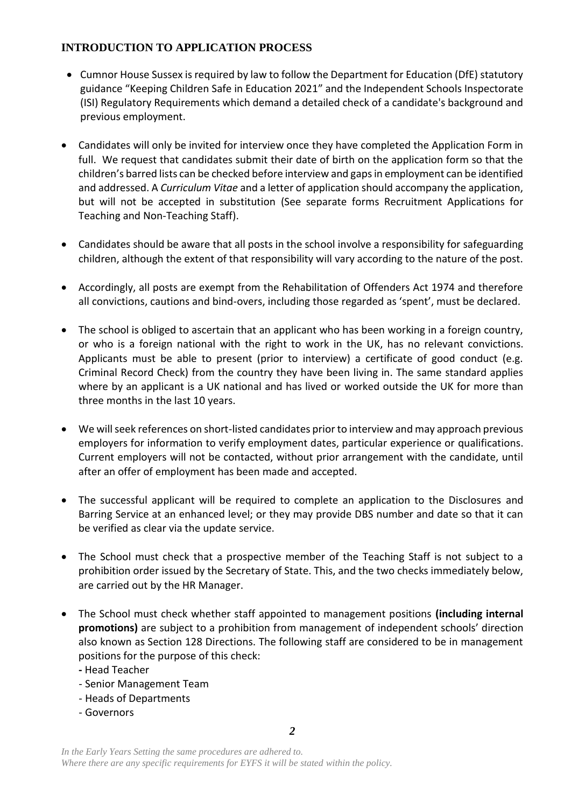# **INTRODUCTION TO APPLICATION PROCESS**

- Cumnor House Sussex is required by law to follow the Department for Education (DfE) statutory guidance "Keeping Children Safe in Education 2021" and the Independent Schools Inspectorate (ISI) Regulatory Requirements which demand a detailed check of a candidate's background and previous employment.
- Candidates will only be invited for interview once they have completed the Application Form in full. We request that candidates submit their date of birth on the application form so that the children's barred lists can be checked before interview and gaps in employment can be identified and addressed. A *Curriculum Vitae* and a letter of application should accompany the application, but will not be accepted in substitution (See separate forms Recruitment Applications for Teaching and Non-Teaching Staff).
- Candidates should be aware that all posts in the school involve a responsibility for safeguarding children, although the extent of that responsibility will vary according to the nature of the post.
- Accordingly, all posts are exempt from the Rehabilitation of Offenders Act 1974 and therefore all convictions, cautions and bind-overs, including those regarded as 'spent', must be declared.
- The school is obliged to ascertain that an applicant who has been working in a foreign country, or who is a foreign national with the right to work in the UK, has no relevant convictions. Applicants must be able to present (prior to interview) a certificate of good conduct (e.g. Criminal Record Check) from the country they have been living in. The same standard applies where by an applicant is a UK national and has lived or worked outside the UK for more than three months in the last 10 years.
- We will seek references on short-listed candidates prior to interview and may approach previous employers for information to verify employment dates, particular experience or qualifications. Current employers will not be contacted, without prior arrangement with the candidate, until after an offer of employment has been made and accepted.
- The successful applicant will be required to complete an application to the Disclosures and Barring Service at an enhanced level; or they may provide DBS number and date so that it can be verified as clear via the update service.
- The School must check that a prospective member of the Teaching Staff is not subject to a prohibition order issued by the Secretary of State. This, and the two checks immediately below, are carried out by the HR Manager.
- The School must check whether staff appointed to management positions **(including internal promotions)** are subject to a prohibition from management of independent schools' direction also known as Section 128 Directions. The following staff are considered to be in management positions for the purpose of this check:
	- **-** Head Teacher
	- Senior Management Team
	- Heads of Departments
	- Governors

*2*

*In the Early Years Setting the same procedures are adhered to. Where there are any specific requirements for EYFS it will be stated within the policy.*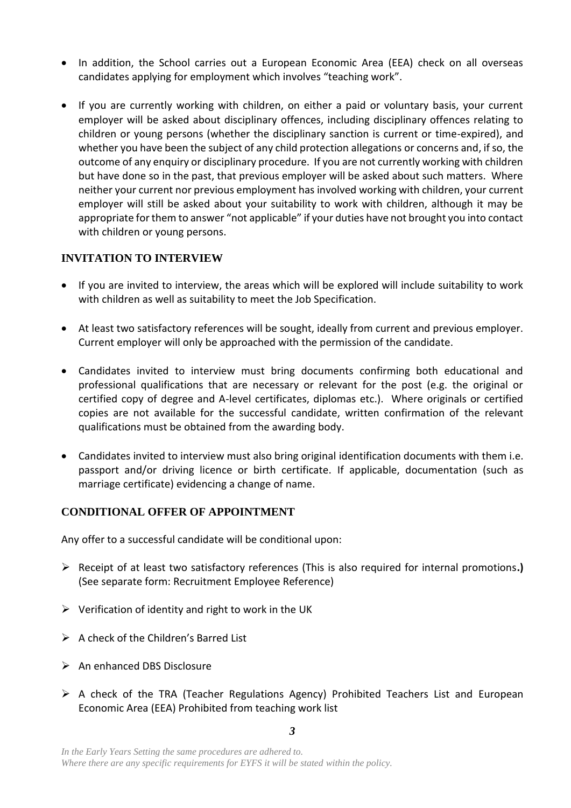- In addition, the School carries out a European Economic Area (EEA) check on all overseas candidates applying for employment which involves "teaching work".
- If you are currently working with children, on either a paid or voluntary basis, your current employer will be asked about disciplinary offences, including disciplinary offences relating to children or young persons (whether the disciplinary sanction is current or time-expired), and whether you have been the subject of any child protection allegations or concerns and, if so, the outcome of any enquiry or disciplinary procedure. If you are not currently working with children but have done so in the past, that previous employer will be asked about such matters. Where neither your current nor previous employment has involved working with children, your current employer will still be asked about your suitability to work with children, although it may be appropriate for them to answer "not applicable" if your duties have not brought you into contact with children or young persons.

# **INVITATION TO INTERVIEW**

- If you are invited to interview, the areas which will be explored will include suitability to work with children as well as suitability to meet the Job Specification.
- At least two satisfactory references will be sought, ideally from current and previous employer. Current employer will only be approached with the permission of the candidate.
- Candidates invited to interview must bring documents confirming both educational and professional qualifications that are necessary or relevant for the post (e.g. the original or certified copy of degree and A-level certificates, diplomas etc.). Where originals or certified copies are not available for the successful candidate, written confirmation of the relevant qualifications must be obtained from the awarding body.
- Candidates invited to interview must also bring original identification documents with them i.e. passport and/or driving licence or birth certificate. If applicable, documentation (such as marriage certificate) evidencing a change of name.

#### **CONDITIONAL OFFER OF APPOINTMENT**

Any offer to a successful candidate will be conditional upon:

- Receipt of at least two satisfactory references (This is also required for internal promotions**.)** (See separate form: Recruitment Employee Reference)
- $\triangleright$  Verification of identity and right to work in the UK
- $\triangleright$  A check of the Children's Barred List
- $\triangleright$  An enhanced DBS Disclosure
- $\triangleright$  A check of the TRA (Teacher Regulations Agency) Prohibited Teachers List and European Economic Area (EEA) Prohibited from teaching work list

*3*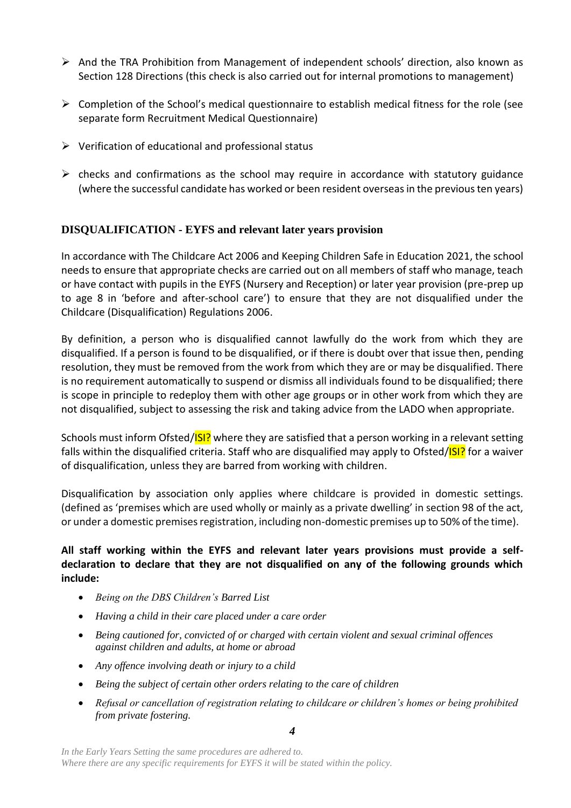- $\triangleright$  And the TRA Prohibition from Management of independent schools' direction, also known as Section 128 Directions (this check is also carried out for internal promotions to management)
- $\triangleright$  Completion of the School's medical questionnaire to establish medical fitness for the role (see separate form Recruitment Medical Questionnaire)
- $\triangleright$  Verification of educational and professional status
- $\triangleright$  checks and confirmations as the school may require in accordance with statutory guidance (where the successful candidate has worked or been resident overseas in the previous ten years)

# **DISQUALIFICATION - EYFS and relevant later years provision**

In accordance with The Childcare Act 2006 and Keeping Children Safe in Education 2021, the school needs to ensure that appropriate checks are carried out on all members of staff who manage, teach or have contact with pupils in the EYFS (Nursery and Reception) or later year provision (pre-prep up to age 8 in 'before and after-school care') to ensure that they are not disqualified under the Childcare (Disqualification) Regulations 2006.

By definition, a person who is disqualified cannot lawfully do the work from which they are disqualified. If a person is found to be disqualified, or if there is doubt over that issue then, pending resolution, they must be removed from the work from which they are or may be disqualified. There is no requirement automatically to suspend or dismiss all individuals found to be disqualified; there is scope in principle to redeploy them with other age groups or in other work from which they are not disqualified, subject to assessing the risk and taking advice from the LADO when appropriate.

Schools must inform Ofsted/ISI? where they are satisfied that a person working in a relevant setting falls within the disqualified criteria. Staff who are disqualified may apply to Ofsted/**ISI?** for a waiver of disqualification, unless they are barred from working with children.

Disqualification by association only applies where childcare is provided in domestic settings. (defined as 'premises which are used wholly or mainly as a private dwelling' in section 98 of the act, or under a domestic premises registration, including non-domestic premises up to 50% of the time).

#### **All staff working within the EYFS and relevant later years provisions must provide a selfdeclaration to declare that they are not disqualified on any of the following grounds which include:**

- *Being on the DBS Children's Barred List*
- *Having a child in their care placed under a care order*
- *Being cautioned for, convicted of or charged with certain violent and sexual criminal offences against children and adults, at home or abroad*
- *Any offence involving death or injury to a child*
- *Being the subject of certain other orders relating to the care of children*
- *Refusal or cancellation of registration relating to childcare or children's homes or being prohibited from private fostering.*

*4*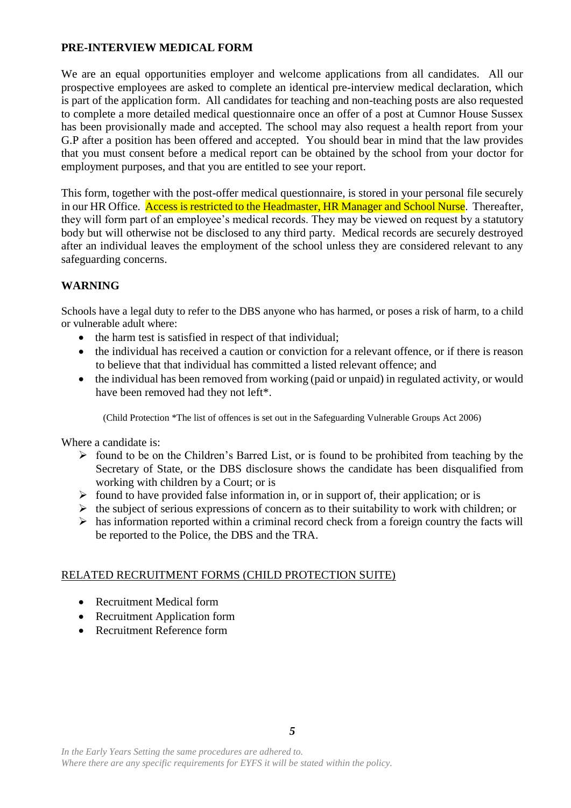#### **PRE-INTERVIEW MEDICAL FORM**

We are an equal opportunities employer and welcome applications from all candidates. All our prospective employees are asked to complete an identical pre-interview medical declaration, which is part of the application form. All candidates for teaching and non-teaching posts are also requested to complete a more detailed medical questionnaire once an offer of a post at Cumnor House Sussex has been provisionally made and accepted. The school may also request a health report from your G.P after a position has been offered and accepted. You should bear in mind that the law provides that you must consent before a medical report can be obtained by the school from your doctor for employment purposes, and that you are entitled to see your report.

This form, together with the post-offer medical questionnaire, is stored in your personal file securely in our HR Office. Access is restricted to the Headmaster, HR Manager and School Nurse. Thereafter, they will form part of an employee's medical records. They may be viewed on request by a statutory body but will otherwise not be disclosed to any third party. Medical records are securely destroyed after an individual leaves the employment of the school unless they are considered relevant to any safeguarding concerns.

# **WARNING**

Schools have a legal duty to refer to the DBS anyone who has harmed, or poses a risk of harm, to a child or vulnerable adult where:

- the harm test is satisfied in respect of that individual;
- the individual has received a caution or conviction for a relevant offence, or if there is reason to believe that that individual has committed a listed relevant offence; and
- the individual has been removed from working (paid or unpaid) in regulated activity, or would have been removed had they not left\*.

(Child Protection \*The list of offences is set out in the Safeguarding Vulnerable Groups Act 2006)

Where a candidate is:

- $\triangleright$  found to be on the Children's Barred List, or is found to be prohibited from teaching by the Secretary of State, or the DBS disclosure shows the candidate has been disqualified from working with children by a Court; or is
- $\triangleright$  found to have provided false information in, or in support of, their application; or is
- $\triangleright$  the subject of serious expressions of concern as to their suitability to work with children; or
- $\triangleright$  has information reported within a criminal record check from a foreign country the facts will be reported to the Police, the DBS and the TRA.

#### RELATED RECRUITMENT FORMS (CHILD PROTECTION SUITE)

- Recruitment Medical form
- Recruitment Application form
- Recruitment Reference form